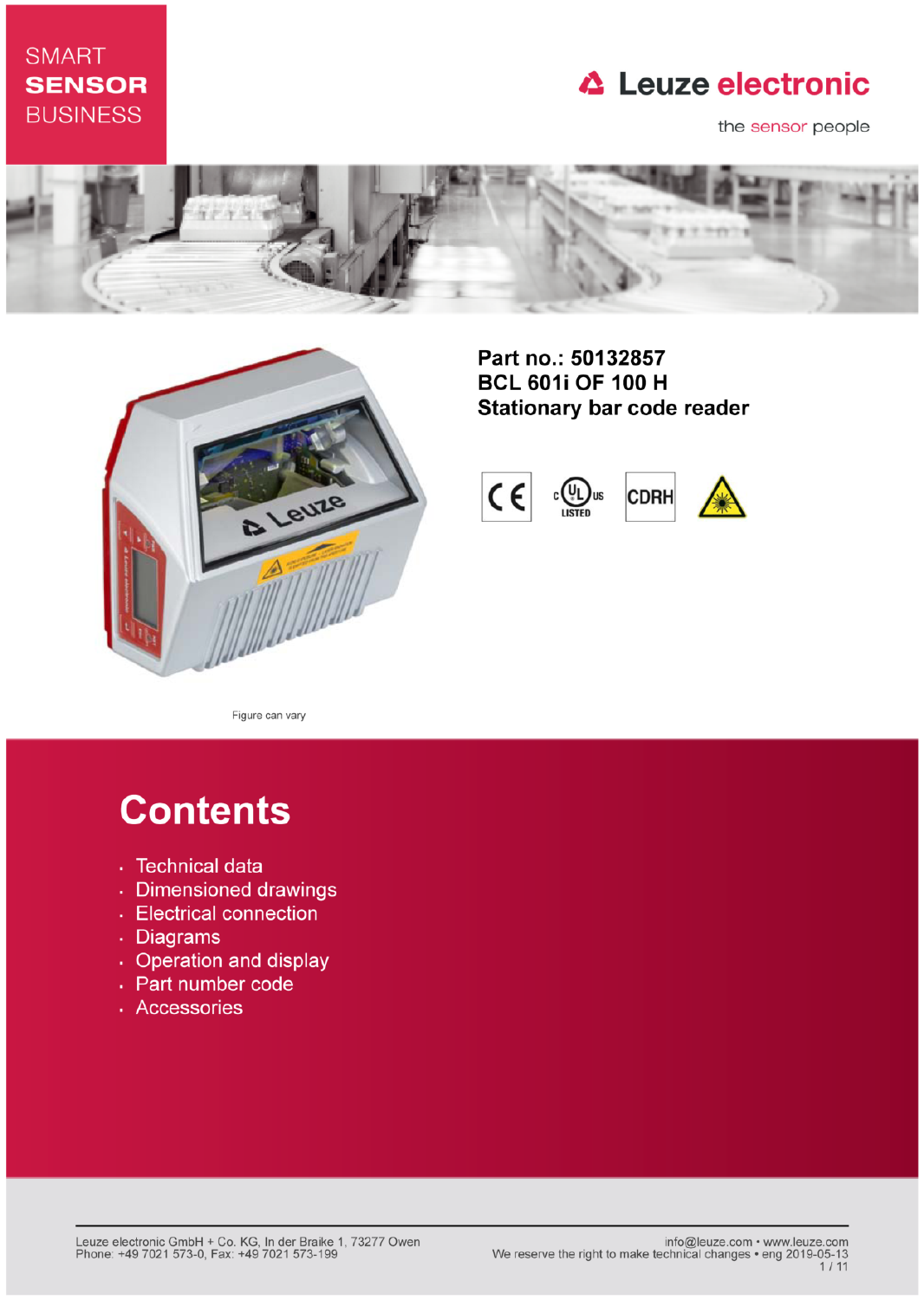## **SMART SENSOR BUSINESS**

## **△ Leuze electronic**

the sensor people





Part no.: 50132857 **BCL 601i OF 100 H Stationary bar code reader** 



Figure can vary

# **Contents**

- · Technical data
- · Dimensioned drawings
- Electrical connection
- . Diagrams
- Operation and display
- Part number code
- · Accessories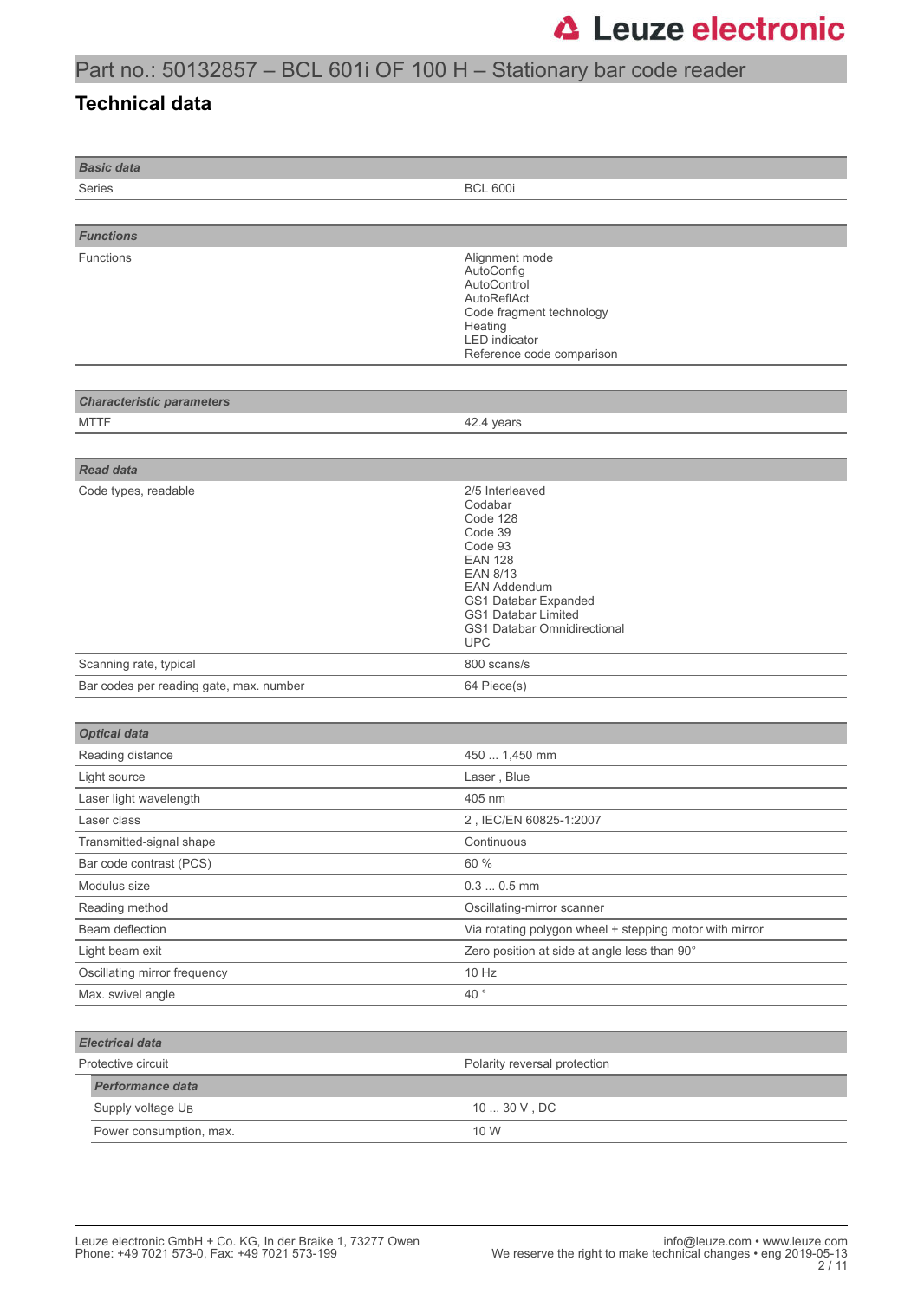### Part no.: 50132857 – BCL 601i OF 100 H – Stationary bar code reader

#### **Technical data**

| <b>Basic data</b>                       |                                                                                                                                                                                                                                    |
|-----------------------------------------|------------------------------------------------------------------------------------------------------------------------------------------------------------------------------------------------------------------------------------|
| Series                                  | <b>BCL 600i</b>                                                                                                                                                                                                                    |
|                                         |                                                                                                                                                                                                                                    |
| <b>Functions</b>                        |                                                                                                                                                                                                                                    |
| Functions                               | Alignment mode<br>AutoConfig<br>AutoControl<br>AutoReflAct<br>Code fragment technology<br>Heating<br><b>LED</b> indicator<br>Reference code comparison                                                                             |
|                                         |                                                                                                                                                                                                                                    |
| <b>Characteristic parameters</b>        |                                                                                                                                                                                                                                    |
| <b>MTTF</b>                             | 42.4 years                                                                                                                                                                                                                         |
|                                         |                                                                                                                                                                                                                                    |
| <b>Read data</b>                        |                                                                                                                                                                                                                                    |
| Code types, readable                    | 2/5 Interleaved<br>Codabar<br>Code 128<br>Code 39<br>Code 93<br><b>EAN 128</b><br><b>EAN 8/13</b><br><b>EAN Addendum</b><br>GS1 Databar Expanded<br><b>GS1 Databar Limited</b><br><b>GS1 Databar Omnidirectional</b><br><b>UPC</b> |
| Scanning rate, typical                  | 800 scans/s                                                                                                                                                                                                                        |
| Bar codes per reading gate, max. number | 64 Piece(s)                                                                                                                                                                                                                        |
|                                         |                                                                                                                                                                                                                                    |
| <b>Optical data</b>                     |                                                                                                                                                                                                                                    |
| Reading distance                        | 450  1,450 mm                                                                                                                                                                                                                      |
| Light source                            | Laser, Blue                                                                                                                                                                                                                        |
| Laser light wavelength                  | 405 nm                                                                                                                                                                                                                             |
| Laser class                             | 2, IEC/EN 60825-1:2007                                                                                                                                                                                                             |
| Transmitted-signal shape                | Continuous                                                                                                                                                                                                                         |
| Bar code contrast (PCS)                 | 60 %                                                                                                                                                                                                                               |
| Modulus size                            | $0.30.5$ mm                                                                                                                                                                                                                        |
|                                         |                                                                                                                                                                                                                                    |
| Reading method<br>Beam deflection       | Oscillating-mirror scanner                                                                                                                                                                                                         |
|                                         | Via rotating polygon wheel + stepping motor with mirror                                                                                                                                                                            |
| Light beam exit                         | Zero position at side at angle less than 90°                                                                                                                                                                                       |
| Oscillating mirror frequency            | 10 Hz                                                                                                                                                                                                                              |
| Max. swivel angle                       | 40 $^{\circ}$                                                                                                                                                                                                                      |
|                                         |                                                                                                                                                                                                                                    |
| <b>Electrical data</b>                  |                                                                                                                                                                                                                                    |
| Protective circuit                      | Polarity reversal protection                                                                                                                                                                                                       |
| <b>Performance data</b>                 |                                                                                                                                                                                                                                    |
| Supply voltage U <sub>B</sub>           | $10 \ldots 30$ V , DC                                                                                                                                                                                                              |
| Power consumption, max.                 | 10 W                                                                                                                                                                                                                               |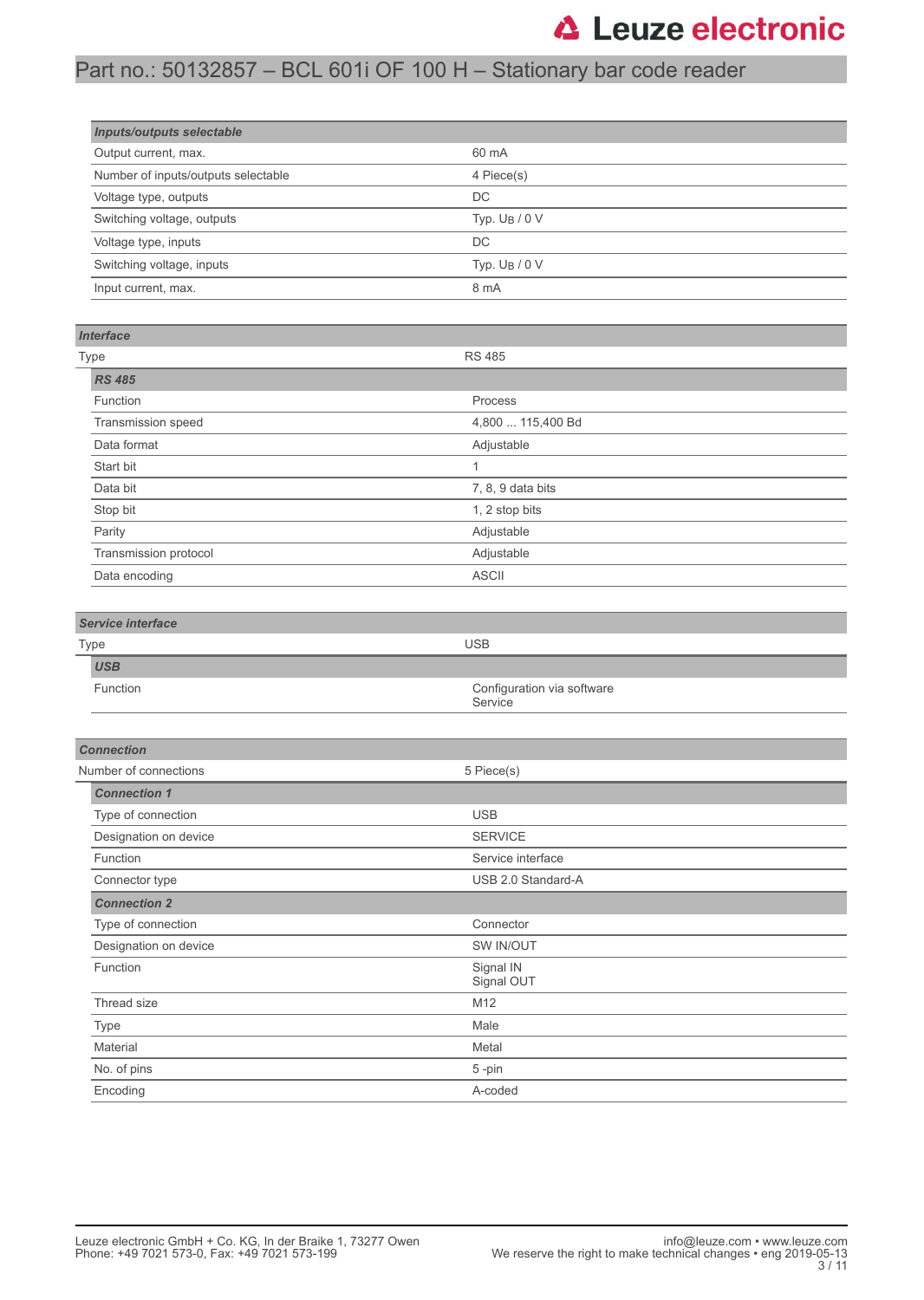### Part no.: 50132857 – BCL 601i OF 100 H – Stationary bar code reader

| <b>Inputs/outputs selectable</b>    |                  |  |
|-------------------------------------|------------------|--|
| Output current, max.                | 60 mA            |  |
| Number of inputs/outputs selectable | 4 Piece(s)       |  |
| Voltage type, outputs               | DC               |  |
| Switching voltage, outputs          | Typ. $U_B / 0 V$ |  |
| Voltage type, inputs                | DC               |  |
| Switching voltage, inputs           | Typ. $U_B / 0 V$ |  |
| Input current, max.                 | 8 mA             |  |

#### *Interface*

| <b>Type</b>           | <b>RS 485</b>     |
|-----------------------|-------------------|
| <b>RS 485</b>         |                   |
| Function              | Process           |
| Transmission speed    | 4,800  115,400 Bd |
| Data format           | Adjustable        |
| Start bit             | и                 |
| Data bit              | 7, 8, 9 data bits |
| Stop bit              | 1, 2 stop bits    |
| Parity                | Adjustable        |
| Transmission protocol | Adjustable        |
| Data encoding         | <b>ASCII</b>      |

#### *Service interface*

| Type            | <b>USB</b>                            |
|-----------------|---------------------------------------|
| <b>USB</b>      |                                       |
| <b>Function</b> | Configuration via software<br>Service |

| <b>Connection</b>     |                         |  |
|-----------------------|-------------------------|--|
| Number of connections | 5 Piece(s)              |  |
| <b>Connection 1</b>   |                         |  |
| Type of connection    | <b>USB</b>              |  |
| Designation on device | <b>SERVICE</b>          |  |
| Function              | Service interface       |  |
| Connector type        | USB 2.0 Standard-A      |  |
| <b>Connection 2</b>   |                         |  |
| Type of connection    | Connector               |  |
| Designation on device | SW IN/OUT               |  |
| Function              | Signal IN<br>Signal OUT |  |
| Thread size           | M <sub>12</sub>         |  |
| Type                  | Male                    |  |
| Material              | Metal                   |  |
| No. of pins           | 5-pin                   |  |
| Encoding              | A-coded                 |  |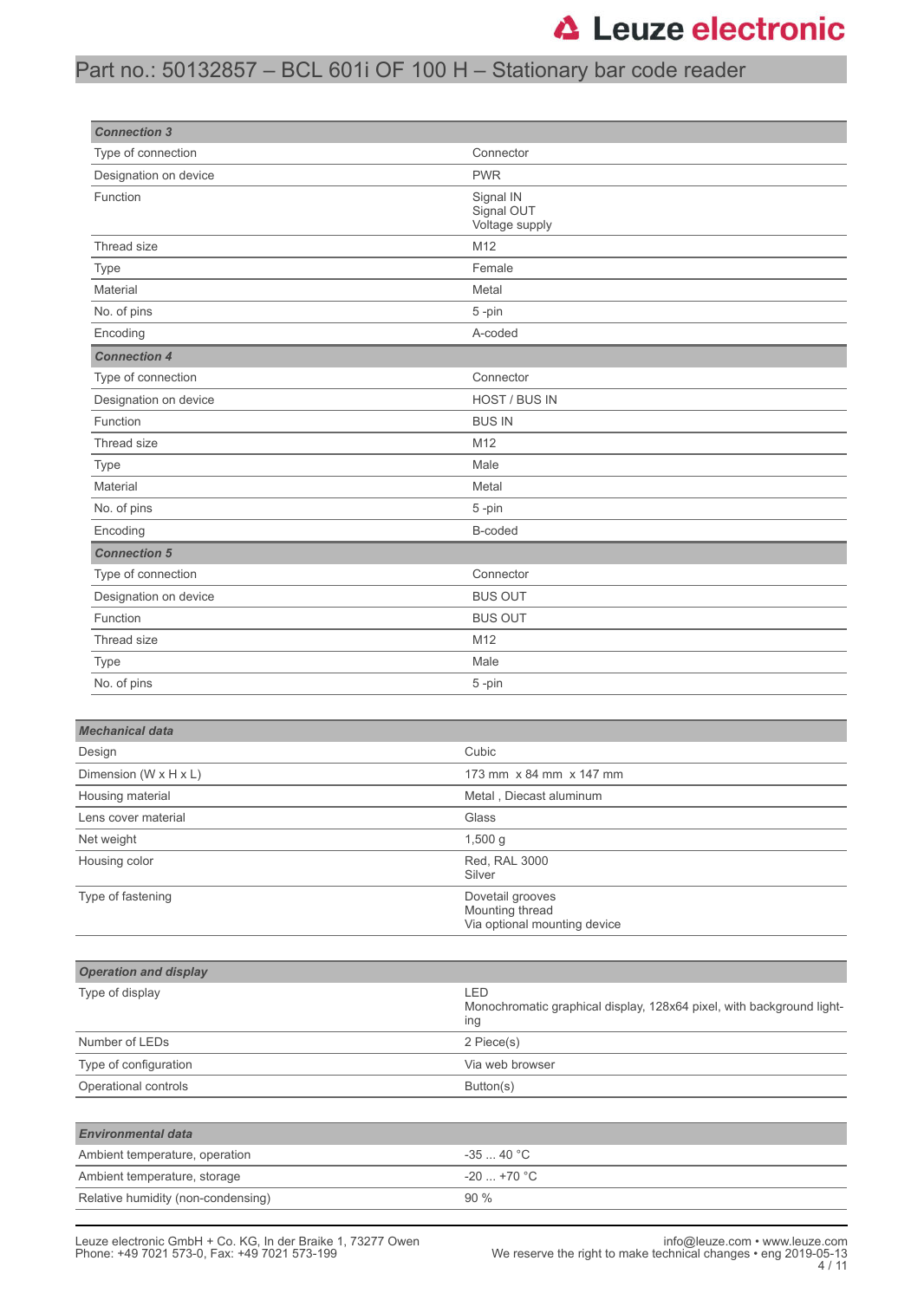## Part no.: 50132857 – BCL 601i OF 100 H – Stationary bar code reader

| <b>Connection 3</b>          |                                                                              |
|------------------------------|------------------------------------------------------------------------------|
| Type of connection           | Connector                                                                    |
| Designation on device        | <b>PWR</b>                                                                   |
| Function                     | Signal IN<br>Signal OUT<br>Voltage supply                                    |
| Thread size                  | M12                                                                          |
| Type                         | Female                                                                       |
| Material                     | Metal                                                                        |
| No. of pins                  | 5-pin                                                                        |
| Encoding                     | A-coded                                                                      |
| <b>Connection 4</b>          |                                                                              |
| Type of connection           | Connector                                                                    |
| Designation on device        | HOST / BUS IN                                                                |
| Function                     | <b>BUS IN</b>                                                                |
| Thread size                  | M12                                                                          |
| Type                         | Male                                                                         |
| Material                     | Metal                                                                        |
| No. of pins                  | 5-pin                                                                        |
| Encoding                     | B-coded                                                                      |
| <b>Connection 5</b>          |                                                                              |
| Type of connection           | Connector                                                                    |
| Designation on device        | <b>BUS OUT</b>                                                               |
| Function                     | <b>BUS OUT</b>                                                               |
| Thread size                  | M12                                                                          |
| Type                         | Male                                                                         |
| No. of pins                  | 5-pin                                                                        |
|                              |                                                                              |
| <b>Mechanical data</b>       |                                                                              |
| Design                       | Cubic                                                                        |
| Dimension (W x H x L)        | 173 mm x 84 mm x 147 mm                                                      |
| Housing material             | Metal, Diecast aluminum                                                      |
| Lens cover material          | Glass                                                                        |
| Net weight                   | 1,500 g                                                                      |
| Housing color                | Red, RAL 3000<br>Silver                                                      |
| Type of fastening            | Dovetail grooves<br>Mounting thread<br>Via optional mounting device          |
| <b>Operation and display</b> |                                                                              |
| Type of display              | LED                                                                          |
|                              | Monochromatic graphical display, 128x64 pixel, with background light-<br>ing |
| Number of LEDs               | 2 Piece(s)                                                                   |
| Type of configuration        | Via web browser                                                              |

| Operational controls               | Button(s)    |
|------------------------------------|--------------|
|                                    |              |
| <b>Environmental data</b>          |              |
| Ambient temperature, operation     | $-3540 °C$   |
| Ambient temperature, storage       | $-20$ +70 °C |
| Relative humidity (non-condensing) | 90%          |

L.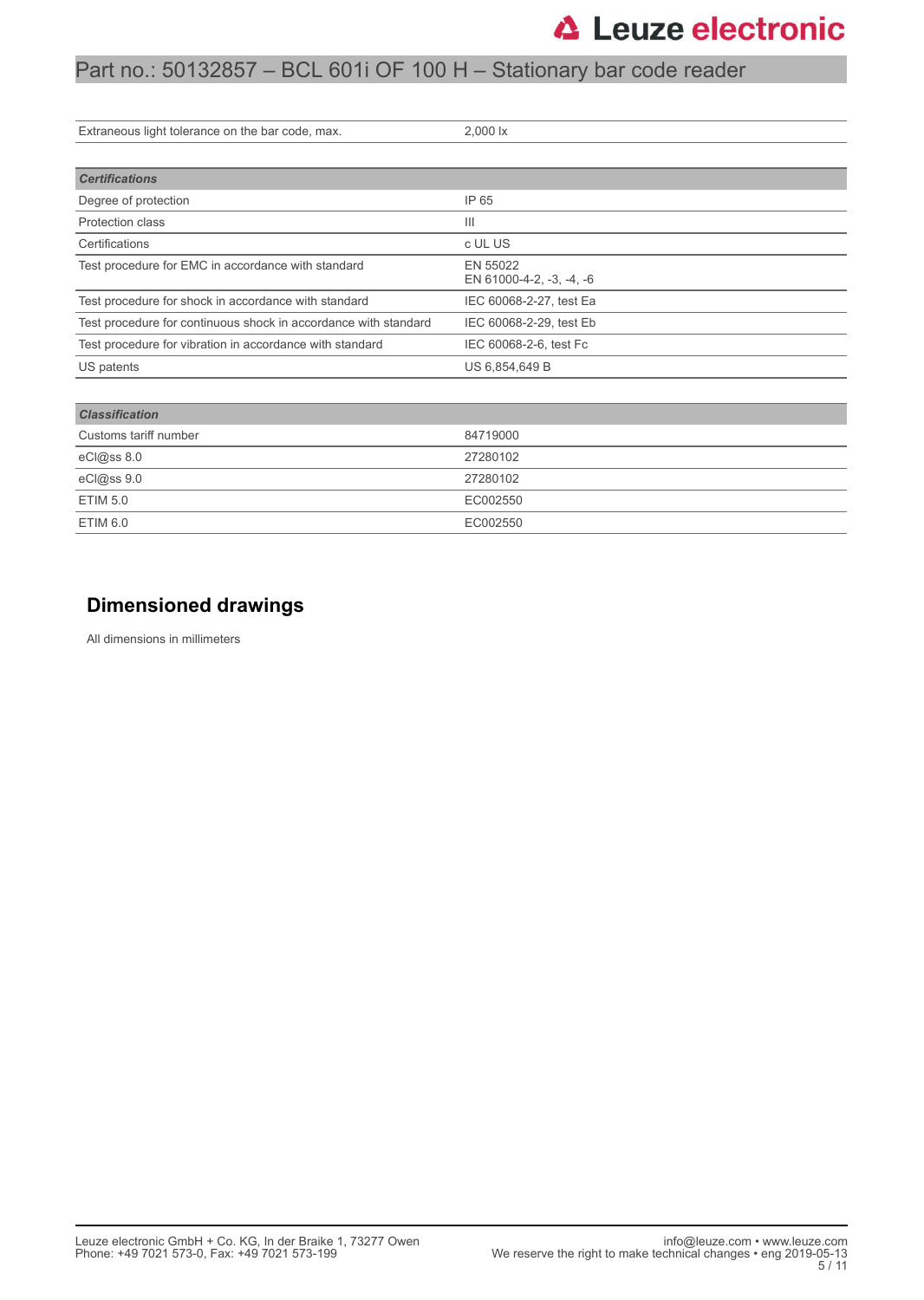### Part no.: 50132857 – BCL 601i OF 100 H – Stationary bar code reader

| Extraneous light tolerance on the bar code, max.                | 2,000 lx                             |
|-----------------------------------------------------------------|--------------------------------------|
|                                                                 |                                      |
|                                                                 |                                      |
| <b>Certifications</b>                                           |                                      |
| Degree of protection                                            | IP 65                                |
| Protection class                                                | $\mathbf{III}$                       |
| Certifications                                                  | c UL US                              |
| Test procedure for EMC in accordance with standard              | EN 55022<br>EN 61000-4-2, -3, -4, -6 |
| Test procedure for shock in accordance with standard            | IEC 60068-2-27, test Ea              |
| Test procedure for continuous shock in accordance with standard | IEC 60068-2-29, test Eb              |
| Test procedure for vibration in accordance with standard        | IEC 60068-2-6, test Fc               |
| US patents                                                      | US 6,854,649 B                       |
|                                                                 |                                      |
| <b>Classification</b>                                           |                                      |
| Customs tariff number                                           | 84719000                             |
| eCl@ss 8.0                                                      | 27280102                             |
| eCl@ss 9.0                                                      | 27280102                             |
| <b>ETIM 5.0</b>                                                 | EC002550                             |
|                                                                 |                                      |

### **Dimensioned drawings**

ETIM 6.0 EC002550

All dimensions in millimeters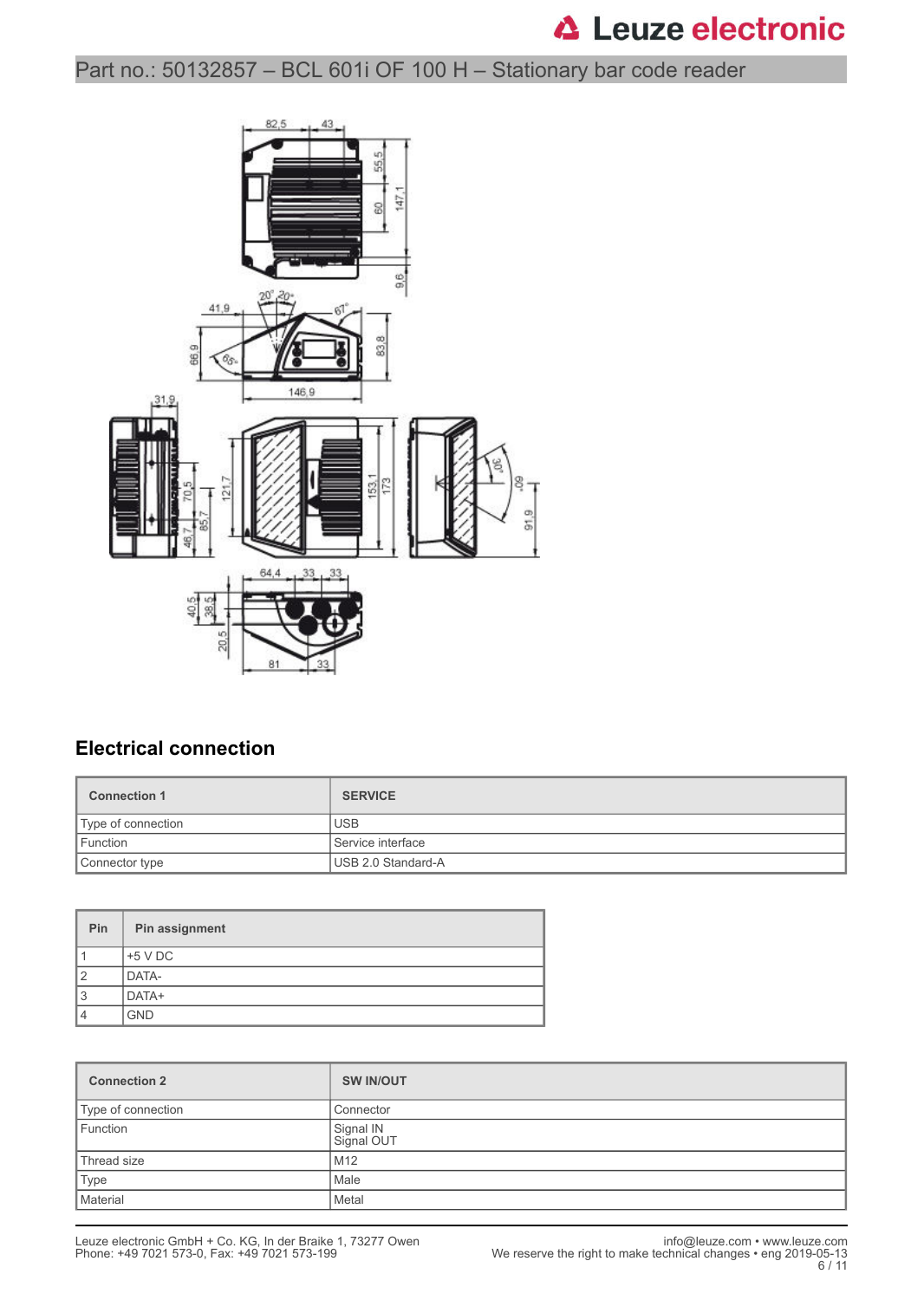Part no.: 50132857 – BCL 601i OF 100 H – Stationary bar code reader



### **Electrical connection**

| <b>Connection 1</b> | <b>SERVICE</b>     |
|---------------------|--------------------|
| Type of connection  | <b>USB</b>         |
| Function            | Service interface  |
| Connector type      | USB 2.0 Standard-A |

| <b>Pin</b>     | Pin assignment |
|----------------|----------------|
|                | $+5$ V DC      |
| $\overline{2}$ | DATA-          |
| 3              | DATA+          |
| 4              | <b>GND</b>     |

| <b>Connection 2</b> | <b>SW IN/OUT</b>        |
|---------------------|-------------------------|
| Type of connection  | Connector               |
| Function            | Signal IN<br>Signal OUT |
| Thread size         | M12                     |
| <b>Type</b>         | Male                    |
| Material            | Metal                   |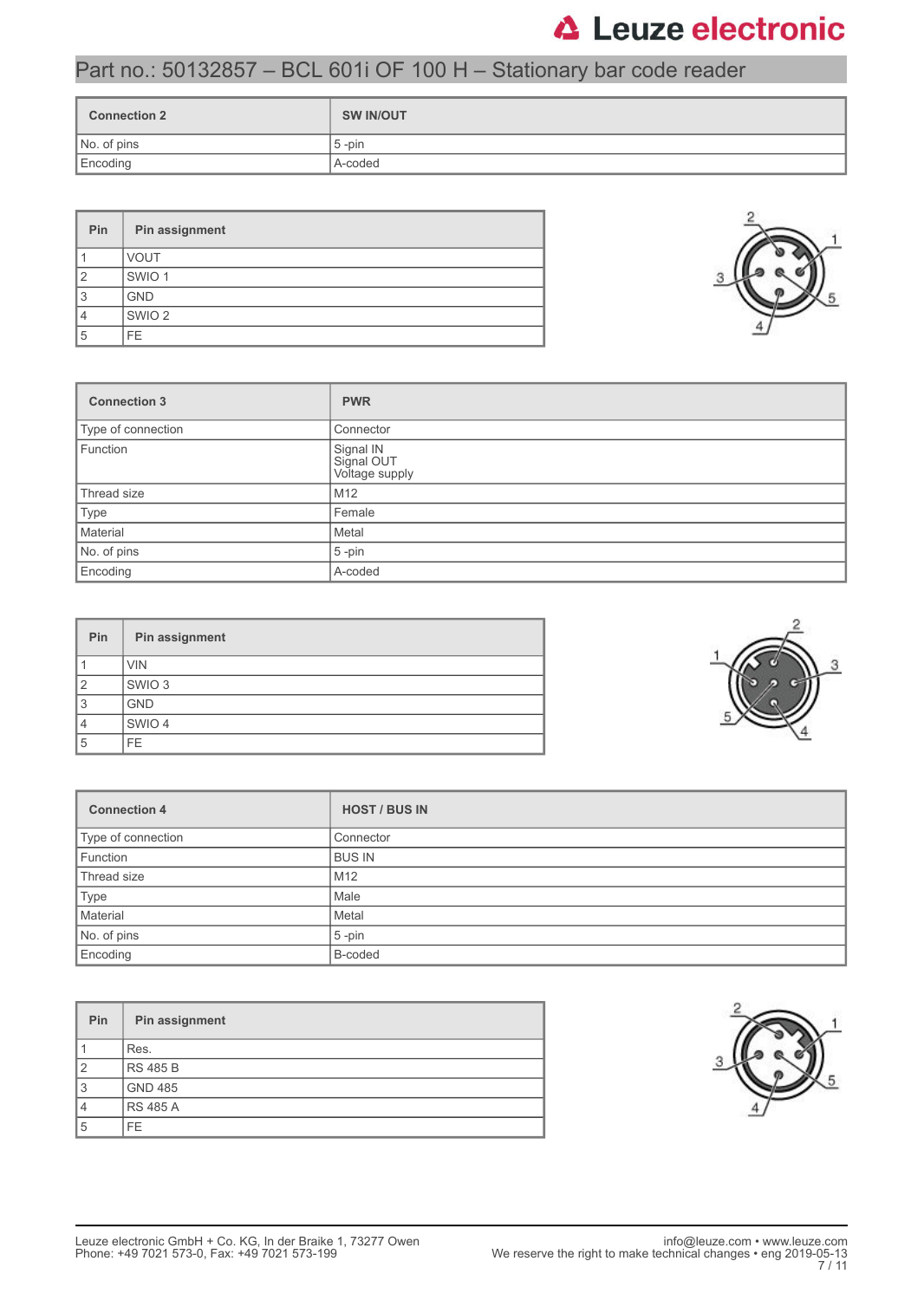## Part no.: 50132857 – BCL 601i OF 100 H – Stationary bar code reader

| <b>Connection 2</b> | <b>SW IN/OUT</b> |
|---------------------|------------------|
| No. of pins         | $5$ -pin         |
| Encoding            | A-coded          |

| Pin            | Pin assignment    |  |  |  |  |
|----------------|-------------------|--|--|--|--|
|                | <b>VOUT</b>       |  |  |  |  |
| $\overline{2}$ | SWIO <sub>1</sub> |  |  |  |  |
| 3              | <b>GND</b>        |  |  |  |  |
| 4              | SWIO <sub>2</sub> |  |  |  |  |
| 5              | FE.               |  |  |  |  |

| <b>Connection 3</b> | <b>PWR</b>                                |  |  |
|---------------------|-------------------------------------------|--|--|
| Type of connection  | Connector                                 |  |  |
| Function            | Signal IN<br>Signal OUT<br>Voltage supply |  |  |
| Thread size         | M <sub>12</sub>                           |  |  |
| Type                | Female                                    |  |  |
| Material            | Metal                                     |  |  |
| No. of pins         | $5 - pin$                                 |  |  |
| Encoding            | A-coded                                   |  |  |

| Pin            | Pin assignment    |
|----------------|-------------------|
|                | <b>VIN</b>        |
| $\overline{2}$ | SWIO <sub>3</sub> |
| 3              | <b>GND</b>        |
| 4              | SWIO 4            |
| 5              | FE.               |

| <b>Connection 4</b> | <b>HOST / BUS IN</b> |  |  |  |
|---------------------|----------------------|--|--|--|
| Type of connection  | Connector            |  |  |  |
| Function            | <b>BUS IN</b>        |  |  |  |
| Thread size         | M12                  |  |  |  |
| Type                | Male                 |  |  |  |
| Material            | Metal                |  |  |  |
| No. of pins         | $5 - pin$            |  |  |  |
| Encoding            | B-coded              |  |  |  |

| Pin            | Pin assignment  |
|----------------|-----------------|
|                | Res.            |
| $\overline{2}$ | <b>RS 485 B</b> |
| 3              | <b>GND 485</b>  |
| $\overline{4}$ | <b>RS 485 A</b> |
| 5              | FE.             |





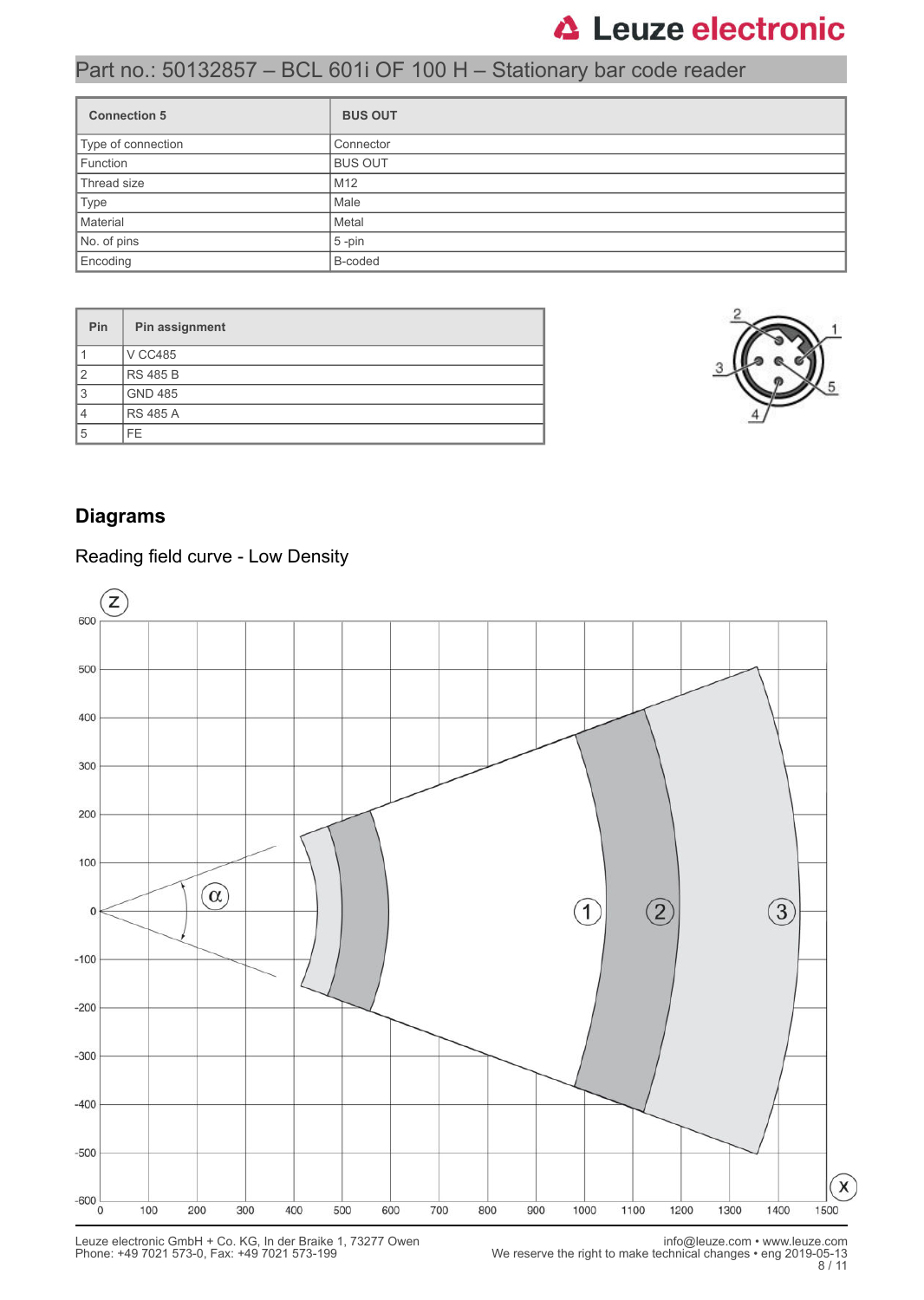## Part no.: 50132857 – BCL 601i OF 100 H – Stationary bar code reader

| <b>Connection 5</b> | <b>BUS OUT</b>  |
|---------------------|-----------------|
| Type of connection  | Connector       |
| Function            | <b>BUS OUT</b>  |
| Thread size         | M <sub>12</sub> |
| Type                | Male            |
| Material            | Metal           |
| No. of pins         | $5$ -pin        |
| Encoding            | B-coded         |

| Pin            | Pin assignment  |
|----------------|-----------------|
|                | <b>V CC485</b>  |
| $\overline{2}$ | <b>RS 485 B</b> |
| 3              | <b>GND 485</b>  |
| $\overline{4}$ | <b>RS 485 A</b> |
| 5              | FE.             |



### **Diagrams**

#### Reading field curve - Low Density

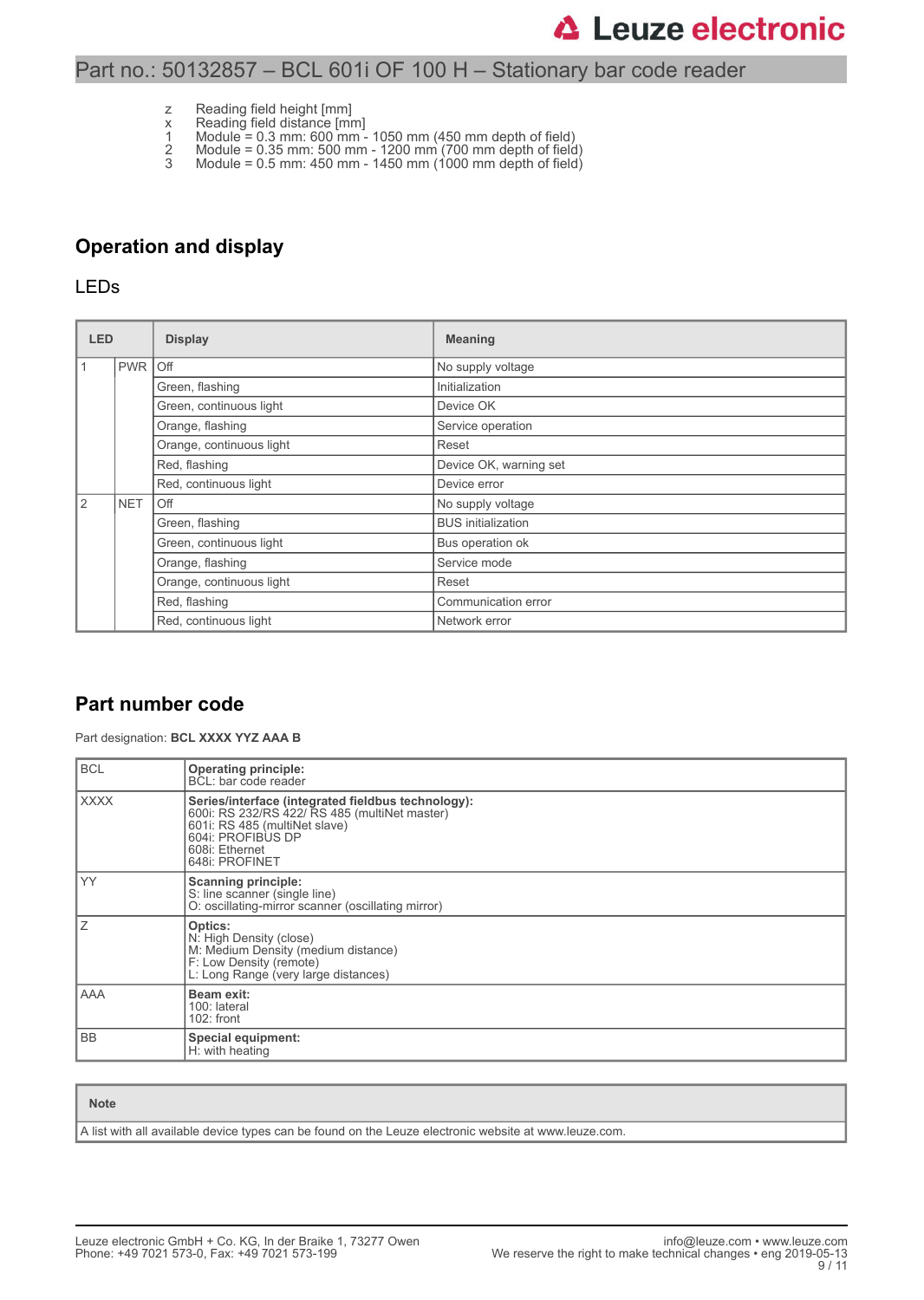#### Part no.: 50132857 – BCL 601i OF 100 H – Stationary bar code reader

- z Reading field height [mm]
- x Reading field distance [mm]
- 1 Module = 0.3 mm: 600 mm 1050 mm (450 mm depth of field)
- 2 Module = 0.35 mm: 500 mm 1200 mm (700 mm depth of field) 3 Module = 0.5 mm: 450 mm - 1450 mm (1000 mm depth of field)

### **Operation and display**

#### LEDs

| <b>LED</b> |            | <b>Display</b>           | <b>Meaning</b>            |  |
|------------|------------|--------------------------|---------------------------|--|
| l 1        | <b>PWR</b> | <b>Off</b>               | No supply voltage         |  |
|            |            | Green, flashing          | Initialization            |  |
|            |            | Green, continuous light  | Device OK                 |  |
|            |            | Orange, flashing         | Service operation         |  |
|            |            | Orange, continuous light | Reset                     |  |
|            |            | Red, flashing            | Device OK, warning set    |  |
|            |            | Red, continuous light    | Device error              |  |
| <u>2</u>   | <b>NET</b> | Off                      | No supply voltage         |  |
|            |            | Green, flashing          | <b>BUS</b> initialization |  |
|            |            | Green, continuous light  | Bus operation ok          |  |
|            |            | Orange, flashing         | Service mode              |  |
|            |            | Orange, continuous light | Reset                     |  |
|            |            | Red, flashing            | Communication error       |  |
|            |            | Red, continuous light    | Network error             |  |

#### **Part number code**

Part designation: **BCL XXXX YYZ AAA B**

| <b>BCL</b>                                    | <b>Operating principle:</b><br>BCL: bar code reader                                                                                                                                           |  |  |  |  |
|-----------------------------------------------|-----------------------------------------------------------------------------------------------------------------------------------------------------------------------------------------------|--|--|--|--|
| <b>XXXX</b>                                   | Series/interface (integrated fieldbus technology):<br>600i: RS 232/RS 422/ RS 485 (multiNet master)<br>601i: RS 485 (multiNet slave)<br>604i: PROFIBUS DP<br>608i: Ethernet<br>648i: PROFINET |  |  |  |  |
| YY                                            | <b>Scanning principle:</b><br>S: line scanner (single line)<br>O: oscillating-mirror scanner (oscillating mirror)                                                                             |  |  |  |  |
| ΙZ                                            | Optics:<br>N: High Density (close)<br>M: Medium Density (medium distance)<br>F: Low Density (remote)<br>L: Long Range (very large distances)                                                  |  |  |  |  |
| l AAA                                         | Beam exit:<br>100: lateral<br>$102:$ front                                                                                                                                                    |  |  |  |  |
| l BB<br>Special equipment:<br>H: with heating |                                                                                                                                                                                               |  |  |  |  |

| <b>Note</b>                                                                                           |
|-------------------------------------------------------------------------------------------------------|
| A list with all available device types can be found on the Leuze electronic website at www.leuze.com. |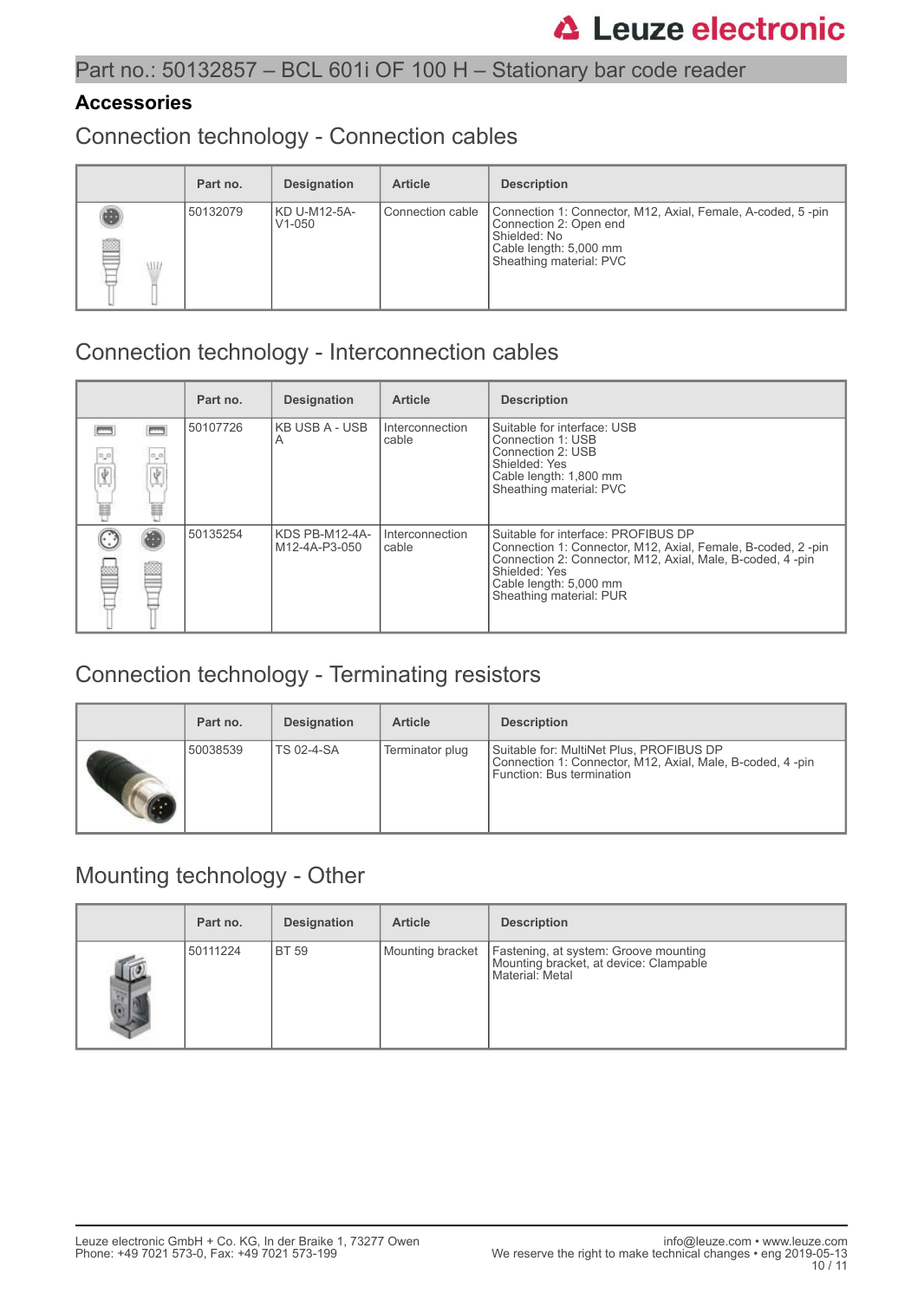#### **Accessories**

Connection technology - Connection cables

|   | Part no. | <b>Designation</b>         | <b>Article</b>     | <b>Description</b>                                                                                                                                         |
|---|----------|----------------------------|--------------------|------------------------------------------------------------------------------------------------------------------------------------------------------------|
| ß | 50132079 | KD U-M12-5A-<br>$V1 - 050$ | l Connection cable | Connection 1: Connector, M12, Axial, Female, A-coded, 5-pin<br>Connection 2: Open end<br>Shielded: No<br>Cable length: 5,000 mm<br>Sheathing material: PVC |

### Connection technology - Interconnection cables

|                |          | Part no. | <b>Designation</b>              | <b>Article</b>           | <b>Description</b>                                                                                                                                                                                                                     |
|----------------|----------|----------|---------------------------------|--------------------------|----------------------------------------------------------------------------------------------------------------------------------------------------------------------------------------------------------------------------------------|
| 0,0<br>Ÿ.<br>Ħ | 0,0<br>畐 | 50107726 | KB USB A - USB  <br>A           | Interconnection<br>cable | Suitable for interface: USB<br>Connection 1: USB<br>Connection 2: USB<br>Shielded: Yes<br>Cable length: 1,800 mm<br>Sheathing material: PVC                                                                                            |
|                |          | 50135254 | KDS PB-M12-4A-<br>M12-4A-P3-050 | Interconnection<br>cable | Suitable for interface: PROFIBUS DP<br>Connection 1: Connector, M12, Axial, Female, B-coded, 2-pin<br>Connection 2: Connector, M12, Axial, Male, B-coded, 4 -pin<br>Shielded: Yes<br>Cable length: 5,000 mm<br>Sheathing material: PUR |

## Connection technology - Terminating resistors

| Part no. | <b>Designation</b> | <b>Article</b>  | <b>Description</b>                                                                                                                 |
|----------|--------------------|-----------------|------------------------------------------------------------------------------------------------------------------------------------|
| 50038539 | <b>TS 02-4-SA</b>  | Terminator plug | Suitable for: MultiNet Plus, PROFIBUS DP<br>Connection 1: Connector, M12, Axial, Male, B-coded, 4-pin<br>Function: Bus termination |

### Mounting technology - Other

|                         | Part no. | <b>Designation</b> | <b>Article</b>   | <b>Description</b>                                                                                 |
|-------------------------|----------|--------------------|------------------|----------------------------------------------------------------------------------------------------|
| $\overline{\mathbb{D}}$ | 50111224 | <b>BT 59</b>       | Mounting bracket | Fastening, at system: Groove mounting<br>Mounting bracket, at device: Clampable<br>Material: Metal |